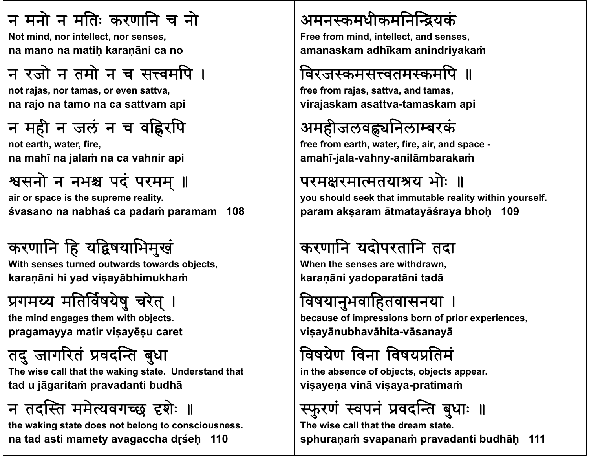#### न मनो न मतिः करणानि च नो

**N t i d i t ll t Not mind, nor intellect, nor senses, na mano na matiḥ karaṇāni ca no**

## न रजो न तमो न च सत्त्वमपि ।

**not j ra as, nor tamas, or even sattva, na rajo na tamo na ca sattvam api**

## न मही न जलं न च वह्निरपि

**not earth fi , water, fire, na mahī na jalaṁ na ca vahnir api**

## श्वसनो न नभश्च पदं परमम् ॥

**air or space is the supreme reality. śvasano na nabhaś ca padaṁ paramam 108**

## करणानि हि यद्विषयाभिमुखं

**With t d t d With senses turned outwards t d bj t towards objects, karaṇāni hi yad viṣayābhimukhaṁ**

# प्रगमय्य मतिर्विषयेषु चरेत् ।

**th i d th ith bj t the mind engages them with objects. pragamayya matir viṣayēṣ<sup>u</sup> caret**

# तदु जागरितं प्रवदन्ति बुधा

**Th i ll h h ki U d d h The wise call that the waking state. Understand that tad u jāgaritaṁ pravadanti budhā**

# न तदस्ति ममेत्यवगच्छ दृशेः ॥

**the waking state does not belong to consciousness. na tad asti mamety avagaccha dṛśeḥ 110**

#### अमनस्कमधीकमनिन्द्रियकं

**F f i d i t ll t d Free from mind, intellect, and senses, amanaskam adhīkam anindriyakaṁ**

## विरजस्कमसत्त्वतमस्कर्मापे ॥

**free from rajas, sattva, and tamas, virajaskam asattva-tamaskam api**

## अमहीजलवह्न्यनिलाम्बरकं

**f f reerom earth fi i d h, water, fire, air, and space amahī-jala-vahny-anilāmbarakaṁ**

#### परमक्षरमात्मतयाश्रय भोः ॥

**you should seek that immutable reality within yourself. param akṣaram ātmatayāśraya bhoḥ 109**

## करणानि यदोपरतानि तदा

**Wh th ene senses are withdrawn, karaṇāni yadoparatāni tadā**

## विषयानुभवाहितवासनया ।

**b fi i b f i i because of impressions born of prior experiences, viṣayānubhavāhita-vāsanayā**

## विषयेण विना विषयप्रतिमं

**i h b f bj bj in the absence of objects, objects appear. viṣayeṇ<sup>a</sup> vinā viṣaya-pratimaṁ**

#### फुरण वपन ां प्रवदन्ति बुधाः ॥

**The wise call that the dream state.sphuraṇaṁ svapanaṁ pravadanti budhāḥ 111**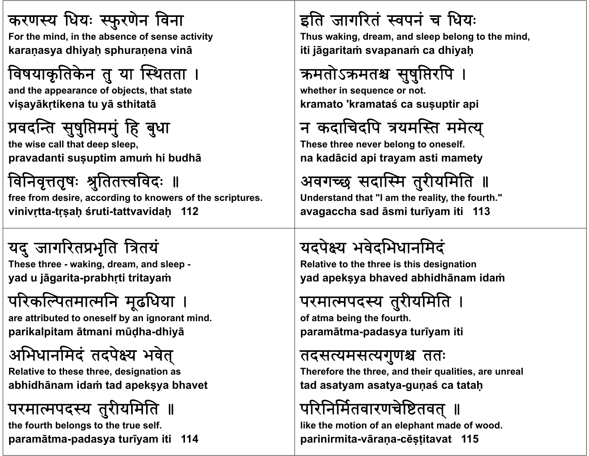#### करणस्य धियः स्फुरणेन विना

**F th i d i th b f For the mind, in the absence of sense acti it <sup>v</sup> y karaṇasya dhiyaḥ sphuraṇena vinā**

## विषयाकृतिकेन तु या स्थितता ।

**and th f bj t th t t t d the appearance of objects, that state viṣayākṛtikena tu yā sthitatā**

### प्रवदन्ति सुषुप्तिममुं हि बुधा

**th i ll h d l he wise call that deep sleep, pravadanti suṣuptim amuṁ hi budhā**

विनिवृत्ततृषः श्रुतितत्त्वविदः ॥ **free from desire, according to knowers of the scriptures. vinivṛtta-tṛṣaḥ śruti-tattvavidaḥ 112**

## यदु जागरितप्रभृति त्रितयं

**Th th eseree - waki d d l king, dream, and sleep yad u jāgarita-prabhṛti tritayaṁ**

## परिकल्पितमात्मनि मूढधिया

are attributed to oneself by an ignorant mind. **parikalpitam ātmani <sup>m</sup>ūḍha-dhiyā**

## अभिधानमिदं तदपेक्ष्य भवेत्

**Rl i h h d i i Relative to these three, designation as abhidhānam idaṁ tad apekṣya bhavet**

#### परमात्मपदस्य तुरीयमिति ॥

**the fourth belongs to the true self. paramātma-padasya turīyam iti 114**

#### इति जागरितं स्वपनं च धियः

Thus waking, dream, and sleep belong to the mind, **iti jāgaritaṁ svapanaṁ ca dhiyaḥ**

## क्रमतोऽक्रमतश्च सुषुप्तिरपि ।

**wh th i t hether in sequence or not. kramato 'kramataś ca suṣuptir api**

## न कदाचिदपि त्रयमस्ति ममेत्य्

**Th h b l lf These three never belong to oneself. na kadācid api trayam asti mamety**

अवगच्छ सदास्मि तुरीयमिति ॥

**Understand that "I am the reality, the fourth." avagaccha sad āsmi turīyam iti 113**

## यदपये भवेदभधानमद

**R l ti t th th i thi d i ti Relative to the three is this designation yad apekṣya bhaved abhidhānam idaṁ**

## परमात्मपदस्य तुरीयमिति ।

**of atma b i th f th being the fourth. paramātma-padasya turīyam iti**

#### तदसत्यमसत्यगुणश्च ततः

**Th f h h d h i li i l herefore the three, and their qualities, are unreal tad asatyam asatya-guṇaś ca tataḥ**

## परिनिर्मितवारणचेष्टितवत् ॥

**like the motion of an elephant made of wood. parinirmita-vāraṇa-cēṣṭitavat 115**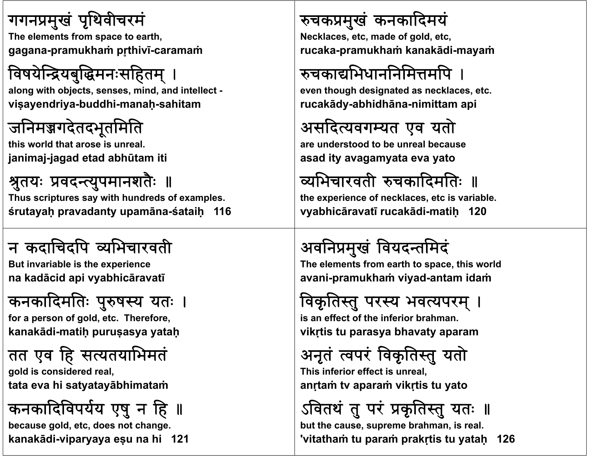#### गगनप्रमुखं पृथिवीचरमं

**Th l t f t th The elements from space to earth, gagana-pramukhaṁ pr̥thivī-caramaṁ**

## विषयेन्द्रियबुद्धिमनःसहितम् ।

along with objects, senses, mind, and intellect **viṣayendriya-buddhi-manaḥ-sahitam**

#### जनिमञ्जगदेतदभूतमिति

**thi ld h i l his world that arose is unreal. janimaj-jagad etad abhūtam iti**

#### श्रुतयः प्रवदन्त्युपमानशतैः ॥

**Thus scriptures say with hundreds of examples. śrutayaḥ pravadanty upamāna-śataiḥ 116**

## <sup>न</sup> कदाचदप यभचारवती

**B t u i i bl i th i invariable is the experience na kadācid api vyabhicāravatī**

## कनकादिर्मातेः पुरुषस्य यतः

**f f ld t Th f for a person of gold, etc. Therefore, kanakādi-matiḥ puruṣasya yataḥ**

#### तत एव हि सत्यतयाभिमतं

**gold i id d l ld is considered real, tata eva hi satyatayābhimataṁ**

## कनकादिविपर्यय एषु न हि ॥

**because gold, etc, does not change. kanakādi-viparyaya eṣu na hi 121**

#### चकमुख कनकादमय

**N kl t d Necklaces, etc, made of ld t go , etc, rucaka-pramukhaṁ kanakādi-mayaṁ**

## रुचकाद्यभिधाननिमित्तमपि ।

**even th h d i t d kl t though designated as necklaces, etc. rucakādy-abhidhāna-nimittam api**

## असदयवगयत एव यताे

**are und d b lb derstood to be unreal because asad ity avagamyata eva yato**

## व्यभिचारवती रुचकादिमतिः ॥

**the experience of necklaces, etc is variable. vyabhicāravatī rucakādi-matiḥ 120**

## अविनमुख वयदतमद

**Th l t f th t thi ld The elements from earth to space, this world avani-pramukhaṁ viyad-antam idaṁ**

## विकृतिस्तु परस्य भवत्यपरम् ।

**i ff t f th i f i is an effect of the inferior b h ra man. vikṛtis tu parasya bhavaty aparam**

#### अनृतं त्वपरं ٠ <sup>:</sup> विकृतिस्तु यतो

**Thi i f i ff i l This inferior effect is unreal, anṛtaṁ tv aparaṁ vikṛtis tu yato**

ऽवितथं तु परं प्रकृतिस्तु यतः ॥

**but the cause, supreme brahman, is real. 'vitathaṁ tu paraṁ prakṛtis tu yataḥ 126**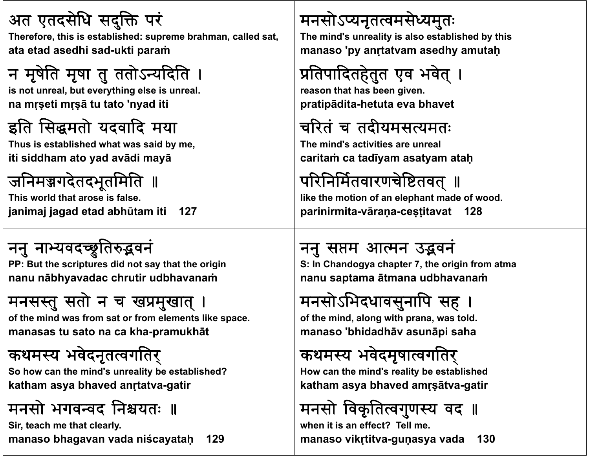#### अत एतदसेधि सदुक्ति परं

Therefore, this is established: supreme brahman, called sat, **ata etad asedhi sad-ukti paraṁ**

## न मृषेति मृषा तु ततोऽन्यदिति ।

**it l s not unreal, b t thi l i l but everything else is unreal. na <sup>m</sup>ṛṣeti <sup>m</sup>ṛṣā tu tato 'nyad iti**

#### इति सिद्धमतो यदवादि मया

**Thus i bli h d is establishedwh id b at was said by me, iti siddham ato yad avādi mayā**



**This world that arose is false.janimaj jagad etad abhūtam iti 127**

## ननु नाभ्यवदच्छूतिरुद्भवनं

PP: But the scriptures did not say that the origin **nanu <sup>n</sup>ābhyavadac chrutir udbhavanaṁ**

## मनसस्तु सतो न च खप्रमुखात् ।

**of th i d f t f l t lik f the mind was from sat or from elements like space. manasas tu sato na ca kha-pramukhāt**

## कथमस्य भवेदनृतत्वगतिर्

**S h h i d' li b bli h d? So how can the mind's unreality be established? katham asya bhaved anṛtatva-gatir**

# मनसो भगवन्वद निश्चयतः ॥

**Sir, teach me that clearly.**

**manaso bhagavan vada niścayataḥ 129**

## मनसोऽप्यनृतत्वमसेध्यमुतः

The mind's unreality is also established by this **manaso 'py anṛtatvam asedhy amutaḥ**

# प्रतिपादितहेतुत एव भवेत् ।

**reason th t h b i that has been given. pratipādita-hetuta eva bhavet**

## चरितं च तदीयमसत्यमतः

**Th i d' i i i l The mind's activities are unreal caritaṁ ca tadīyam asatyam ataḥ**

## परिनिर्मितवारणचेष्टितवत् ॥

**like the motion of an elephant made of wood. parinirmita-vāraṇa-ceṣṭitavat 128**

## ननु सप्तम आत्मन उद्भवनं

**S I :n Ch d an ogya ch t ap er 7, th i i e origin from atma nanu saptama ātmana udbhavanaṁ**

## मनसोऽभिदधावसुनापि सह ।

**of th i d l ith f the mind, along with prana, was t ld <sup>o</sup> . manaso 'bhidadhā<sup>v</sup> asunāpi saha**

## कथमस्य भवेदमृषात्वगतिर्

**H h i d' li b bli h d How can the mind's reality be established katham asya bhaved amṛṣātva-gatir**

## मनसो विकृतित्वगुणस्य वद ॥

**when it is an effect? Tell me.manaso vikṛtitva-guṇasya vada 130**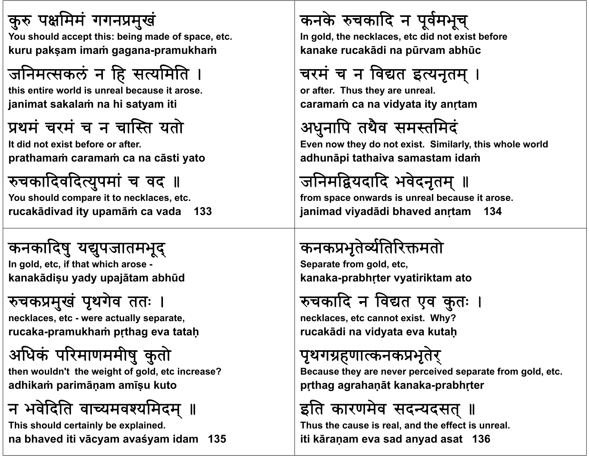#### कुरु पक्षमिमं गगनप्रमुखं

**Y h ld t thi b i You should accept this: being mad f e o space, etc. kuru pakṣam imaṁ gagana-pramukhaṁ**

## जनिमत्सकलं न हि सत्यमिति

**thi ti ld i l b it this entire world is unreal because it arose. janimat sakalaṁ na hi satyam iti**

### प्रथमं चरमं च न चास्ति यतो

**I did i b f f It did not exist before or after. prathamaṁ caramaṁ ca na <sup>c</sup>āsti yato**

## रुचकादिवदित्युपमां च वद**॥**

**You should compare it to necklaces, etc. rucakādivad ity upamāṁ ca vada 133**

# कनकादिषु यद्युपजातमभूद्

**I ld t if th t hi h In gold, etc, that which arose kanakādiṣ<sup>u</sup> yady upajātam abhūd**

## रुचकप्रमुखं पृथगेव ततः ।

**neckl t aces, etc - were act ll t ua y separate, rucaka-pramukhaṁ pṛthag eva tataḥ**

# अधक परमाणममीष ुकुताे

**th ld ' en wouldn't the wei h f ld i ? ight of gold, etc increase? adhikaṁ parimāṇam amīṣ<sup>u</sup> kuto**

# न भवेदिति वाच्यमवश्यमिदम् ॥

**This should certainly be explained. na bhaved iti vācyam avaśyam idam 135**

## कनके रुचकादि न पूर्वमभूच्

In gold, the necklaces, etc did not exist before **kanake rucakādi na pūrvam abhū<sup>c</sup>**

## चरमं च न विद्यत इत्यनृतम् ।

**or aft Th er. Thus th l ey are unreal. caramaṁ ca na vidyata ity anṛtam**

## अधुनाप तथैव समतमद

Even now they do not exist. Similarly, this whole world **adhunāpi tathaiva samastam idaṁ**

## जनिमद्वियदादि भवेदनृतम् ॥

**from space onwards is unreal because it arose. janimad viyadādi bhaved anṛtam 134**

## कनकप्रभृतेर्व्यतिरिक्तमतो

**S t f ld t Separate from gold, etc, kanaka-prabhṛter vyatiriktam ato**

## रुचकादि न विद्यत एव कुतः ।

**neckl t t i t Wh ? klaces, etc cannot exist. Why? rucakādi na vidyata eva kutaḥ**

## पृथगहणाकनकभृतरे्

**B h i d f ld Because they are never perceived separate from gold, etc. pṛthag agrahaṇāt kanaka-prabhṛter**

## इति कारणमेव सदन्यदसत् ॥

**Thus the cause is real, and the effect is unreal. iti kāraṇam eva sad anyad asat 136**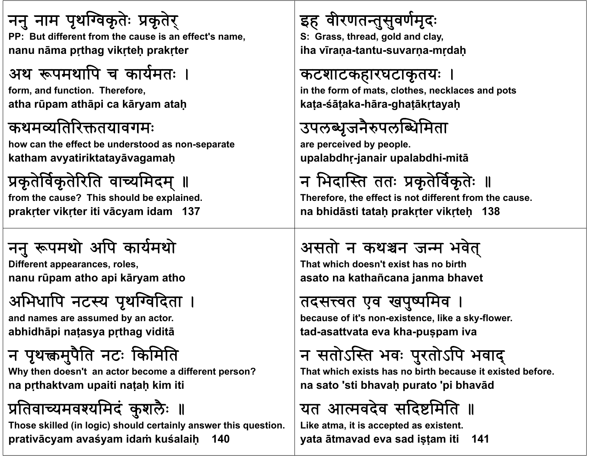ननु नाम पृथग्विकृतेः प्रकृतेर् **PP B t diff t PP: But differentf th i ff t' from the cause is an effect's name, nanu <sup>n</sup>āma pṛthag vikṛteḥ prakṛter**

#### अथ रूपमथापि च कार्यमतः ।

**f d f ti Th f form, and function. Therefore, atha rūpam athāpi ca kāryam ataḥ**

#### कथमयितरतयावगम

**h h ff b d d how can the effect be understood as non-separate katham avyatiriktatayāvagamaḥ**

#### प्रकृतेर्विकृतेरिति वाच्यमिदम् ॥

**from the cause? This should be explained. prakṛter vikṛter iti vācyam idam 137**

## ननु रूपमथो अपि कार्यमथो

**Diff t eren appearances, roles, nanu <sup>r</sup>ūpam atho api kāryam atho**

## अभिधापि नटस्य पृथग्विदिता ।

**and db t names are assumed by an actor. abhidhāpi naṭasya pṛthag viditā**

## न पृथक्तमुपैति नटः किमिति

**Wh h d ' b diff ? Why then doesn't an actor become a different person? na pṛthaktvam upaiti naṭaḥ kim iti**

## प्रतिवाच्यमवश्यमिदं कुशलैः ॥

**Those skilled (in logic) should certainly answer this question. prativācyam avaśyam idaṁ kuśalaiḥ 140**

## इह वीरणतन्तुसुवर्णमृदः

**S: G th d ld d l Grass, thread, gold and clay, iha <sup>v</sup>īraṇa-tantu-suvarṇa-mṛdaḥ**

#### कटशाटकहारघटाकृतयः ।

**i th f f t l th kl d t in the form of mats, clothes, necklaces and pots kaṭa-śāṭaka-hāra-ghaṭākṛtayaḥ**

## उपलब्धृजनैरुपलब्धिमिता

**are percei db l ve y people. upalabdhṛ-janair upalabdhi-mitā**

न भिदास्ति ततः प्रकृतेर्विकृतेः ॥

**Therefore, the effect is not different from the cause. na bhidāsti tataḥ prakṛter vikṛteḥ 138**

## असतो न कथश्चन जन्म भवेत्

That which doesn't exist has no birth **asato na kathañcana janma bhavet**

#### तदसत्त्वत एव खपुर्ष्पमिव

**b f it' because of it's non-exi t lik k istence, like a sky-flower. tad-asattvata eva kha-puṣpam iva**

## न सतोऽस्ति भवः पुरतोऽपि भवाद्

That which exists has no birth because it existed before. **na sato 'sti bhavaḥ purato 'pi bhavād**

#### यत आत्मवदेव सदिष्टमिति ॥

**Like atma, it is accepted as existent. yata ātmavad eva sad iṣṭam iti 141**